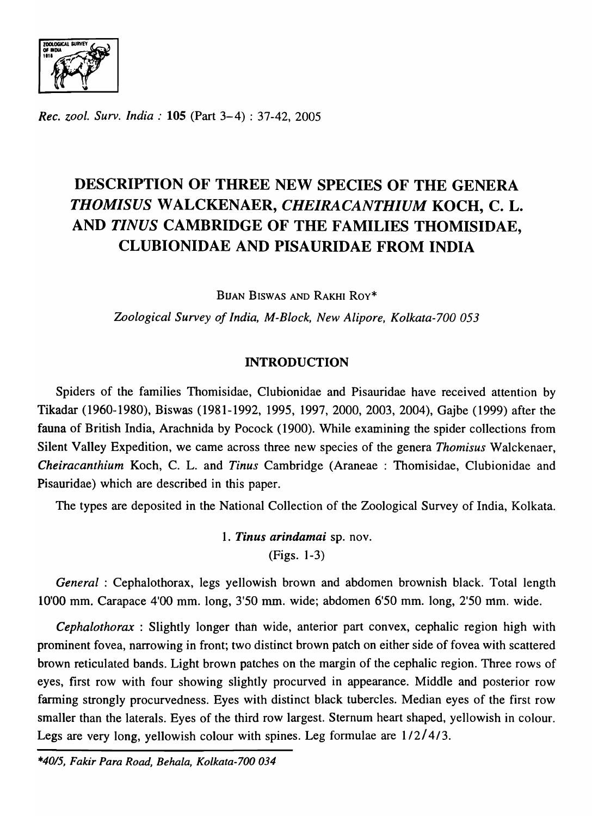OF  $\overline{C}$  $\sqrt{1 + \epsilon}$ 

*Rec. zool. Surv. India:* 105 (Part 3-4) : 37-42, 2005

# DESCRIPTION OF THREE NEW SPECIES OF THE GENERA *THOMISUS* W ALCKENAER, *CHElRACANTHIUM* KOCH, C. L. AND *TINUS* CAMBRIDGE OF THE FAMILIES THOMISIDAE, CLUBIONIDAE AND PISAURIDAE FROM INDIA

BUAN BISWAS AND RAKHI Roy\*

*Zoological Survey of India, M-Block, New Alipore, Kolkata-700 053* 

# INTRODUCTION

Spiders of the families Thomisidae, Clubionidae and Pisauridae have received attention by Tikadar (1960-1980), Biswas (1981-1992, 1995, 1997,2000,2003,2004), Gajbe (1999) after the fauna of British India, Arachnida by Pocock (1900). While examining the spider collections from Silent Valley Expedition, we came across three new species of the genera *Thomisus* Walckenaer, *Cheiracanthium* Koch, C. L. and *Tinus* Cambridge (Araneae : Thomisidae, Clubionidae and Pisauridae) which are described in this paper.

The types are deposited in the National Collection of the Zoological Survey of India, Kolkata.

1. *Tinus arindamai* sp. nov. (Figs. 1-3)

*General* : Cephalothorax, legs yellowish brown and abdomen brownish black. Total length 10'00 mm. Carapace 4'00 mm. long, 3'50 mm. wide; abdomen 6'50 mm. long, 2'50 mm. wide.

*Cephalothorax* : Slightly longer than wide, anterior part convex, cephalic region high with prominent fovea, narrowing in front; two distinct brown patch on either side of fovea with scattered brown reticulated bands. Light brown patches on the margin of the cephalic region. Three rows of eyes, first row with four showing slightly procurved in appearance. Middle and posterior row farming strongly procurvedness. Eyes with distinct black tubercles. Median eyes of the first row smaller than the laterals. Eyes of the third row largest. Sternum heart shaped, yellowish in colour. Legs are very long, yellowish colour with spines. Leg formulae are 1/2/4/3.

*\*4015, Fakir Para Road, Behala, Kolkata-700 034*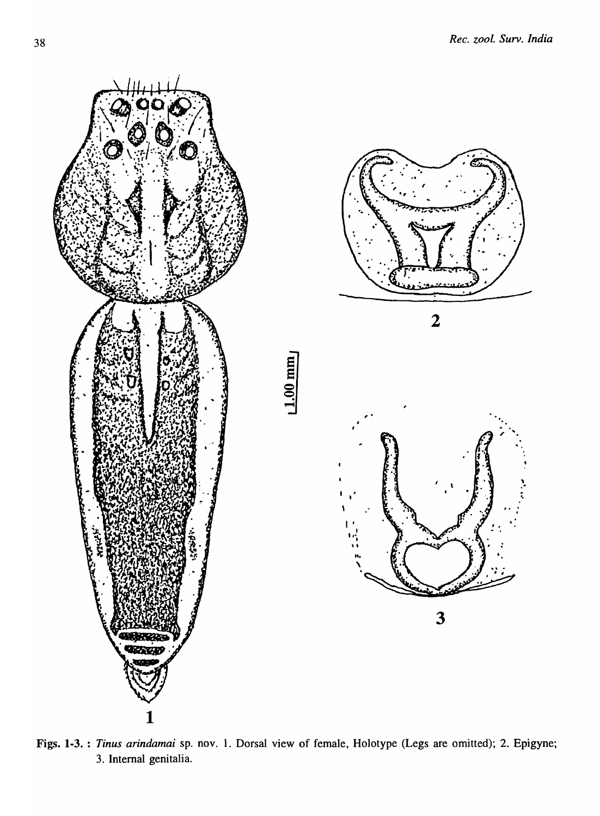

Figs. 1-3. *Tinus arindamai* sp. nov. 1. Dorsal view of female, Holotype (Legs are omitted); 2. Epigyne; 3. Internal genitalia.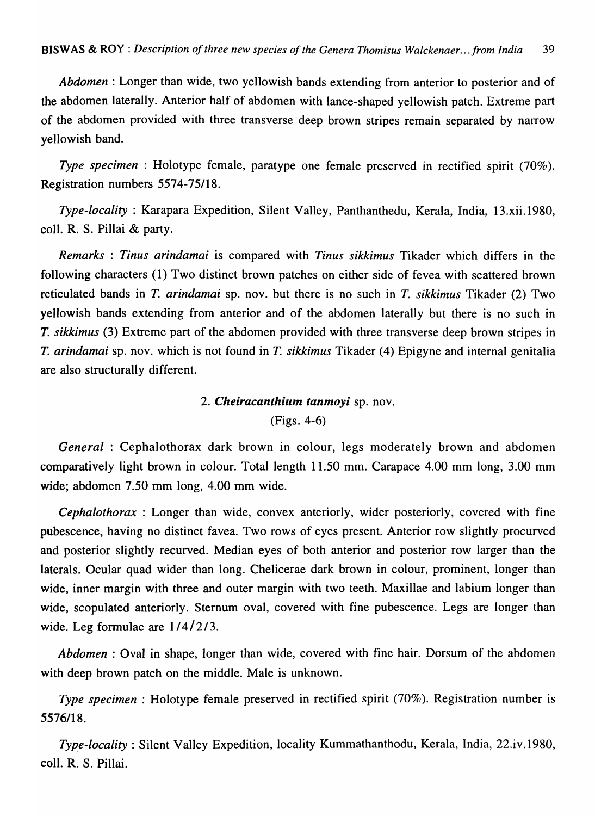*Abdomen:* Longer than wide, two yellowish bands extending from anterior to posterior and of the abdomen laterally. Anterior half of abdomen with lance-shaped yellowish patch. Extreme part of the abdomen provided with three transverse deep brown stripes remain separated by narrow yellowish band.

*Type specimen* : Holotype female, paratype one female preserved in rectified spirit (70%). Registration numbers 5574-75/18.

*Type-locality* : Karapara Expedition, Silent Valley, Panthanthedu, Kerala, India, 13.xii.1980, colI. R. S. Pillai & party.

*Remarks* : *Tinus arindamai* is compared with *Tinus sikkimus* Tikader which differs in the following characters (1) Two distinct brown patches on either side of fevea with scattered brown reticulated bands in T. *arindamai* sp. nov. but there is no such in *T. sikkimus* Tikader (2) Two yellowish bands extending from anterior and of the abdomen lateraIIy but there is no such in *T. sikkimus* (3) Extreme part of the abdomen provided with three transverse deep brown stripes in *T. arindamai* sp. nov. which is not found in T. *sikkimus* Tikader (4) Epigyne and internal genitalia are also structurally different.

## *2. Cheiracanthium tanmoyi* sp. nov.

(Figs. 4-6)

*General* : Cephalothorax dark brown in colour, legs moderately brown and abdomen comparatively light brown in colour. Total length 11.50 mm. Carapace 4.00 mm long, 3.00 mm wide; abdomen 7.50 mm long, 4.00 mm wide.

*Cephalothorax* : Longer than wide, convex anteriorly, wider posteriorly, covered with fine pubescence, having no distinct favea. Two rows of eyes present. Anterior row slightly procurved and posterior slightly recurved. Median eyes of both anterior and posterior row larger than the laterals. Ocular quad wider than long. Chelicerae dark brown in colour, prominent, longer than wide, inner margin with three and outer margin with two teeth. Maxillae and labium longer than wide, scopulated anteriorly. Sternum oval, covered with fine pubescence. Legs are longer than wide. Leg formulae are  $1/4/2/3$ .

*Abdomen* : Oval in shape, longer than wide, covered with fine hair. Dorsum of the abdomen with deep brown patch on the middle. Male is unknown.

*Type specimen* : Holotype female preserved in rectified spirit (70%). Registration number is 5576/18.

*Type-locality:* Silent Valley Expedition, locality Kummathanthodu, Kerala, India, 22.iv.1980, coll. R. S. Pillai.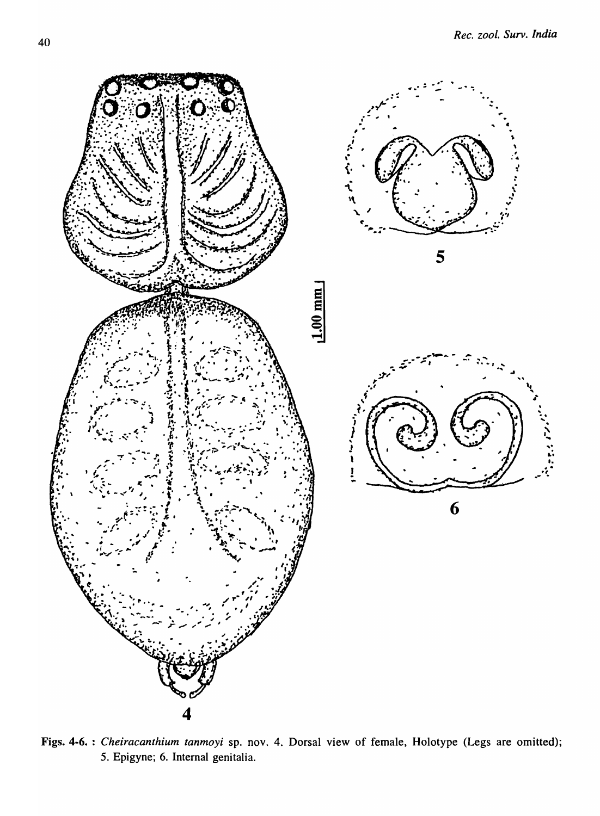

Figs. 4-6. : Cheiracanthium tanmoyi sp. nov. 4. Dorsal view of female, Holotype (Legs are omitted); 5. Epigyne; 6. Internal genitalia.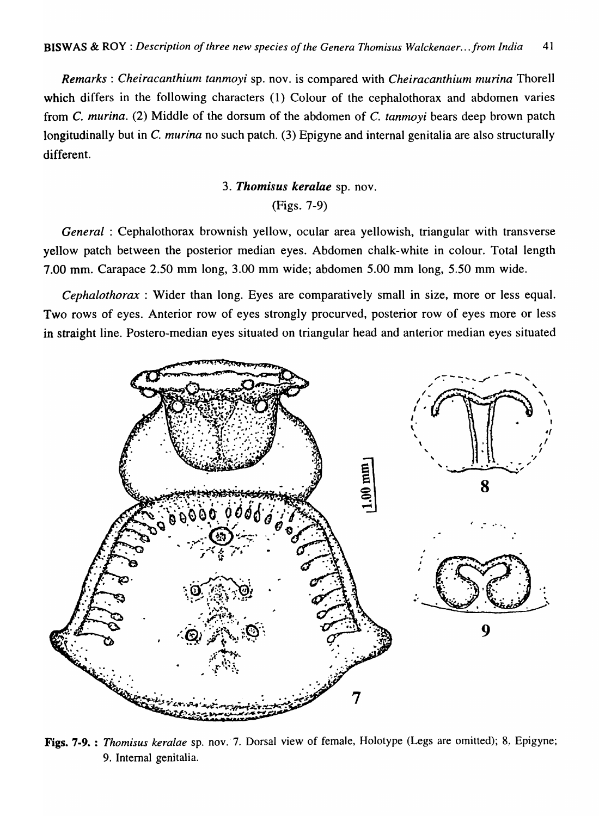*Remarks: Cheiracanthium tanmoyi* sp. nov. is compared with *Cheiracanthium murina* Thorell which differs in the following characters (1) Colour of the cephalothorax and abdomen varies from C. *murina.* (2) Middle of the dorsum of the abdomen of C. *tanmoyi* bears deep brown patch longitudinally but in C. *murina* no such patch. (3) Epigyne and internal genitalia are also structurally different.

## *3. Thomisus keralae* sp. nov.

## (Figs. 7-9)

*General* : Cephalothorax brownish yellow, ocular area yellowish, triangular with transverse yellow patch between the posterior median eyes. Abdomen chalk-white in colour. Total length 7.00 mm. Carapace 2.50 mm long, 3.00 mm wide; abdomen 5.00 mm long, 5.50 mm wide.

*Cephalothorax* : Wider than long. Eyes are comparatively small in size, more or less equal. Two rows of eyes. Anterior row of eyes strongly procurved, posterior row of eyes more or less in straight line. Postero-median eyes situated on triangular head and anterior median eyes situated



Figs. 7-9. : Thomisus keralae sp. nov. 7. Dorsal view of female, Holotype (Legs are omitted); 8. Epigyne; 9. Internal genitalia.